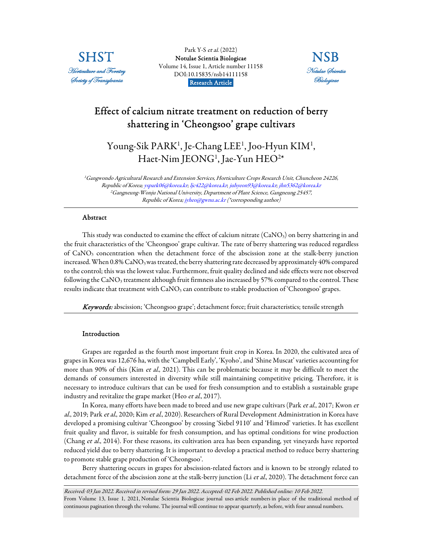

Park Y-S et al. (2022) [Notulae Scientia Biologicae](https://www.notulaebiologicae.ro/index.php/nsb/index)  Volume 14, Issue 1, Article number 11158 DOI:10.15835/nsb14111158 Research Article.



# Effect of calcium nitrate treatment on reduction of berry shattering in 'Cheongsoo' grape cultivars

Young-Sik PARK<sup>1</sup>, Je-Chang LEE<sup>1</sup>, Joo-Hyun KIM<sup>1</sup>, Haet-Nim JEONG<sup>1</sup>, Jae-Yun HEO<sup>2\*</sup>

<sup>1</sup>Gangwondo Agricultural Research and Extension Services, Horticulture Crops Research Unit, Chuncheon 24226, Republic of Korea; yspark06@korea.kr; ljc422@korea.kr; juhyeon93@korea.kr; jhn5362@korea.kr <sup>2</sup>Gangneung-Wonju National University, Department of Plant Science, Gangneung 25457, Republic of Korea; jyheo@gwnu.ac.kr (\*corresponding author)

## Abstract

This study was conducted to examine the effect of calcium nitrate  $(CaNO<sub>3</sub>)$  on berry shattering in and the fruit characteristics of the 'Cheongsoo' grape cultivar. The rate of berry shattering was reduced regardless of CaNO3 concentration when the detachment force of the abscission zone at the stalk-berry junction increased. When 0.8% CaNO<sub>3</sub> was treated, the berry shattering rate decreased by approximately 40% compared to the control; this was the lowest value. Furthermore, fruit quality declined and side effects were not observed following the CaNO<sub>3</sub> treatment although fruit firmness also increased by 57% compared to the control. These results indicate that treatment with CaNO<sub>3</sub> can contribute to stable production of 'Cheongsoo' grapes.

Keywords: abscission; 'Cheongsoo grape'; detachment force; fruit characteristics; tensile strength

## Introduction

Grapes are regarded as the fourth most important fruit crop in Korea. In 2020, the cultivated area of grapes in Korea was 12,676 ha, with the 'Campbell Early', 'Kyoho', and 'Shine Muscat' varieties accounting for more than 90% of this (Kim *et al.*, 2021). This can be problematic because it may be difficult to meet the demands of consumers interested in diversity while still maintaining competitive pricing. Therefore, it is necessary to introduce cultivars that can be used for fresh consumption and to establish a sustainable grape industry and revitalize the grape market (Heo et al., 2017).

In Korea, many efforts have been made to breed and use new grape cultivars (Park et al., 2017; Kwon et al., 2019; Park et al., 2020; Kim et al., 2020). Researchers of Rural Development Administration in Korea have developed a promising cultivar 'Cheongsoo' by crossing 'Siebel 9110' and 'Himrod' varieties. It has excellent fruit quality and flavor, is suitable for fresh consumption, and has optimal conditions for wine production (Chang et al., 2014). For these reasons, its cultivation area has been expanding, yet vineyards have reported reduced yield due to berry shattering. It is important to develop a practical method to reduce berry shattering to promote stable grape production of 'Cheongsoo'.

Berry shattering occurs in grapes for abscission-related factors and is known to be strongly related to detachment force of the abscission zone at the stalk-berry junction (Li et al., 2020). The detachment force can

Received: 03 Jan 2022. Received in revised form: 29 Jan 2022. Accepted: 02 Feb 2022. Published online: 10 Feb 2022. From Volume 13, Issue 1, 2021, Notulae Scientia Biologicae journal uses article numbers in place of the traditional method of continuous pagination through the volume. The journal will continue to appear quarterly, as before, with four annual numbers.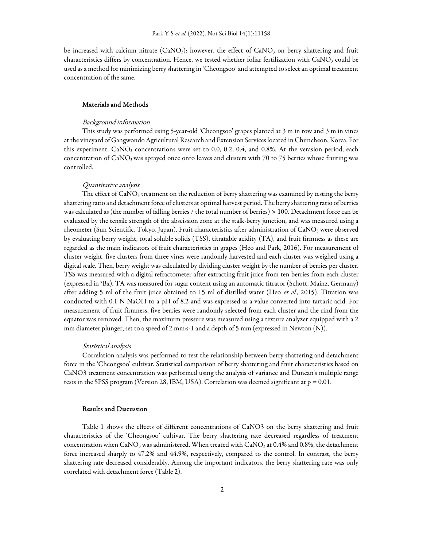be increased with calcium nitrate  $(CaNO<sub>3</sub>)$ ; however, the effect of  $CaNO<sub>3</sub>$  on berry shattering and fruit characteristics differs by concentration. Hence, we tested whether foliar fertilization with CaNO<sub>3</sub> could be used as a method for minimizing berry shattering in 'Cheongsoo' and attempted to select an optimal treatment concentration of the same.

# Materials and Methods

#### Background information

This study was performed using 5-year-old 'Cheongsoo' grapes planted at 3 m in row and 3 m in vines at the vineyard of Gangwondo Agricultural Research and Extension Services located in Chuncheon, Korea. For this experiment,  $CaNO<sub>3</sub>$  concentrations were set to 0.0, 0.2, 0.4, and 0.8%. At the verasion period, each concentration of CaNO<sub>3</sub> was sprayed once onto leaves and clusters with 70 to 75 berries whose fruiting was controlled.

#### Quantitative analysis

The effect of  $CaNO<sub>3</sub>$  treatment on the reduction of berry shattering was examined by testing the berry shattering ratio and detachment force of clusters at optimal harvest period. The berry shattering ratio of berries was calculated as (the number of falling berries / the total number of berries) × 100. Detachment force can be evaluated by the tensile strength of the abscission zone at the stalk-berry junction, and was measured using a rheometer (Sun Scientific, Tokyo, Japan). Fruit characteristics after administration of CaNO<sub>3</sub> were observed by evaluating berry weight, total soluble solids (TSS), titratable acidity (TA), and fruit firmness as these are regarded as the main indicators of fruit characteristics in grapes (Heo and Park, 2016). For measurement of cluster weight, five clusters from three vines were randomly harvested and each cluster was weighed using a digital scale. Then, berry weight was calculated by dividing cluster weight by the number of berries per cluster. TSS was measured with a digital refractometer after extracting fruit juice from ten berries from each cluster (expressed in °Bx). TA was measured for sugar content using an automatic titrator (Schott, Mainz, Germany) after adding 5 ml of the fruit juice obtained to 15 ml of distilled water (Heo et al., 2015). Titration was conducted with 0.1 N NaOH to a pH of 8.2 and was expressed as a value converted into tartaric acid. For measurement of fruit firmness, five berries were randomly selected from each cluster and the rind from the equator was removed. Then, the maximum pressure was measured using a texture analyzer equipped with a 2 mm diameter plunger, set to a speed of 2 mm·s-1 and a depth of 5 mm (expressed in Newton (N)).

#### Statistical analysis

Correlation analysis was performed to test the relationship between berry shattering and detachment force in the 'Cheongsoo' cultivar. Statistical comparison of berry shattering and fruit characteristics based on CaNO3 treatment concentration was performed using the analysis of variance and Duncan's multiple range tests in the SPSS program (Version 28, IBM, USA). Correlation was deemed significant at p = 0.01.

#### Results and Discussion

Table 1 shows the effects of different concentrations of CaNO3 on the berry shattering and fruit characteristics of the 'Cheongsoo' cultivar. The berry shattering rate decreased regardless of treatment concentration when  $\text{CaNO}_3$  was administered. When treated with  $\text{CaNO}_3$  at 0.4% and 0.8%, the detachment force increased sharply to 47.2% and 44.9%, respectively, compared to the control. In contrast, the berry shattering rate decreased considerably. Among the important indicators, the berry shattering rate was only correlated with detachment force (Table 2).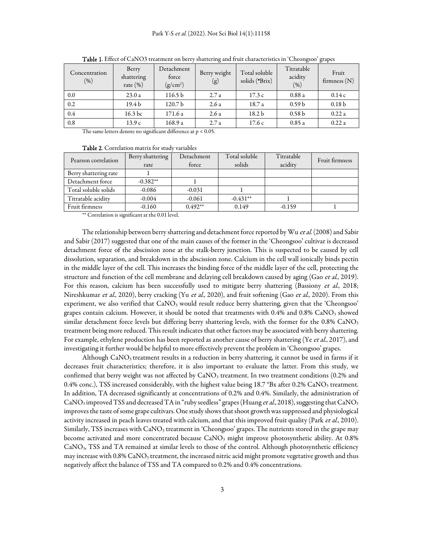| Concentration<br>$(\% )$ | Berry<br>shattering<br>rate $(\%)$ | Detachment<br>force<br>(g/cm <sup>2</sup> ) | Berry weight<br>(g) | Total soluble<br>solids (°Brix) | Titratable<br>acidity<br>(% ) | Fruit<br>firmness $(N)$ |
|--------------------------|------------------------------------|---------------------------------------------|---------------------|---------------------------------|-------------------------------|-------------------------|
| 0.0                      | 23.0a                              | 116.5b                                      | 2.7a                | 17.3c                           | 0.88a                         | 0.14c                   |
| 0.2                      | 19.4 <sub>b</sub>                  | 120.7 <sub>b</sub>                          | 2.6a                | 18.7 a                          | 0.59 <sub>b</sub>             | 0.18 <sub>b</sub>       |
| 0.4                      | 16.3 bc                            | 171.6 a                                     | 2.6a                | 18.2 <sub>b</sub>               | 0.58 <sub>b</sub>             | 0.22a                   |
| 0.8                      | 13.9c                              | 168.9 a                                     | 2.7a                | 17.6c                           | 0.85a                         | 0.22a                   |

Table 1. Effect of CaNO3 treatment on berry shattering and fruit characteristics in 'Cheongsoo' grapes

The same letters denote no significant difference at p < 0.05.

## Table 2. Correlation matrix for study variables

| Pearson correlation   | Berry shattering | Detachment | Total soluble | Titratable | Fruit firmness |
|-----------------------|------------------|------------|---------------|------------|----------------|
|                       | rate             | force      | solids        | acidity    |                |
| Berry shattering rate |                  |            |               |            |                |
| Detachment force      | $-0.382**$       |            |               |            |                |
| Total soluble solids  | $-0.086$         | $-0.031$   |               |            |                |
| Titratable acidity    | $-0.004$         | $-0.061$   | $-0.431**$    |            |                |
| Fruit firmness        | $-0.160$         | $0.492**$  | 0.149         | $-0.159$   |                |

\*\* Correlation is significant at the 0.01 level.

The relationship between berry shattering and detachment force reported by Wu et al. (2008) and Sabir and Sabir (2017) suggested that one of the main causes of the former in the 'Cheongsoo' cultivar is decreased detachment force of the abscission zone at the stalk-berry junction. This is suspected to be caused by cell dissolution, separation, and breakdown in the abscission zone. Calcium in the cell wall ionically binds pectin in the middle layer of the cell. This increases the binding force of the middle layer of the cell, protecting the structure and function of the cell membrane and delaying cell breakdown caused by aging (Gao et al., 2019). For this reason, calcium has been successfully used to mitigate berry shattering (Bassiony et al., 2018; Nireshkumar et al., 2020), berry cracking (Yu et al., 2020), and fruit softening (Gao et al., 2020). From this experiment, we also verified that  $CaNO<sub>3</sub>$  would result reduce berry shattering, given that the 'Cheongsoo' grapes contain calcium. However, it should be noted that treatments with 0.4% and 0.8% CaNO<sub>3</sub> showed similar detachment force levels but differing berry shattering levels, with the former for the 0.8% CaNO<sub>3</sub> treatment being more reduced. This result indicates that other factors may be associated with berry shattering. For example, ethylene production has been reported as another cause of berry shattering (Ye et al., 2017), and investigating it further would be helpful to more effectively prevent the problem in 'Cheongsoo' grapes.

Although  $CaNO<sub>3</sub>$  treatment results in a reduction in berry shattering, it cannot be used in farms if it decreases fruit characteristics; therefore, it is also important to evaluate the latter. From this study, we confirmed that berry weight was not affected by  $CaNO<sub>3</sub>$  treatment. In two treatment conditions (0.2% and 0.4% conc.), TSS increased considerably, with the highest value being  $18.7 \text{ }^{\circ}$ Bx after 0.2% CaNO<sub>3</sub> treatment. In addition, TA decreased significantly at concentrations of 0.2% and 0.4%. Similarly, the administration of CaNO<sub>3</sub> improved TSS and decreased TA in "ruby seedless" grapes (Huang *et al.*, 2018), suggesting that CaNO<sub>3</sub> improves the taste of some grape cultivars. One study shows that shoot growth was suppressed and physiological activity increased in peach leaves treated with calcium, and that this improved fruit quality (Park *et al.*, 2010). Similarly, TSS increases with CaNO<sub>3</sub> treatment in 'Cheongsoo' grapes. The nutrients stored in the grape may become activated and more concentrated because CaNO<sub>3</sub> might improve photosynthetic ability. At 0.8% CaNO3, TSS and TA remained at similar levels to those of the control. Although photosynthetic efficiency may increase with 0.8% CaNO<sub>3</sub> treatment, the increased nitric acid might promote vegetative growth and thus negatively affect the balance of TSS and TA compared to 0.2% and 0.4% concentrations.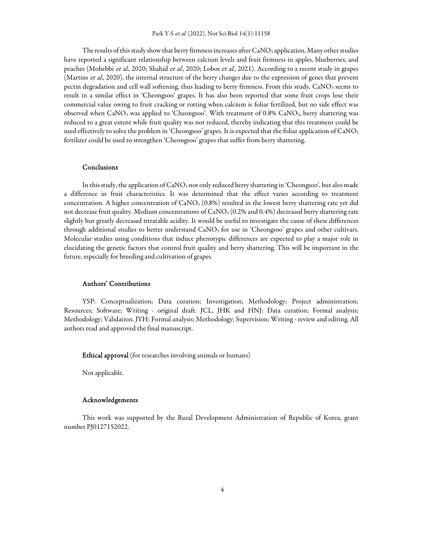The results of this study show that berry firmness increases after CaNO<sub>3</sub> application. Many other studies have reported a significant relationship between calcium levels and fruit firmness in apples, blueberries, and peaches (Mohebbi et al., 2020; Shahid et al., 2020; Lobos et al., 2021). According to a recent study in grapes (Martins et al., 2020), the internal structure of the berry changes due to the expression of genes that prevent pectin degradation and cell wall softening, thus leading to berry firmness. From this study, CaNO<sub>3</sub> seems to result in a similar effect in 'Cheongsoo' grapes. It has also been reported that some fruit crops lose their commercial value owing to fruit cracking or rotting when calcium is foliar fertilized, but no side effect was observed when CaNO<sub>3</sub> was applied to 'Cheongsoo'. With treatment of 0.8% CaNO<sub>3</sub>, berry shattering was reduced to a great extent while fruit quality was not reduced, thereby indicating that this treatment could be used effectively to solve the problem in 'Cheongsoo' grapes. It is expected that the foliar application of CaNO<sub>3</sub> fertilizer could be used to strengthen 'Cheongsoo' grapes that suffer from berry shattering.

## Conclusions

In this study, the application of CaNO<sub>3</sub> not only reduced berry shattering in 'Cheongsoo', but also made a difference in fruit characteristics. It was determined that the effect varies according to treatment concentration. A higher concentration of  $CaNO<sub>3</sub>$  (0.8%) resulted in the lowest berry shattering rate yet did not decrease fruit quality. Medium concentrations of  $\text{CaNO}_3$  (0.2% and 0.4%) decreased berry shattering rate slightly but greatly decreased titratable acidity. It would be useful to investigate the cause of these differences through additional studies to better understand CaNO<sub>3</sub> for use in 'Cheongsoo' grapes and other cultivars. Molecular studies using conditions that induce phenotypic differences are expected to play a major role in elucidating the genetic factors that control fruit quality and berry shattering. This will be important in the future, especially for breeding and cultivation of grapes.

# Authors' Contributions

YSP: Conceptualization; Data curation; Investigation; Methodology; Project administration; Resources; Software; Writing - original draft. JCL, JHK and HNJ: Data curation; Formal analysis; Methodology; Validation. JYH: Formal analysis; Methodology; Supervision; Writing - review and editing. All authors read and approved the final manuscript.

Ethical approval (for researches involving animals or humans)

Not applicable.

#### Acknowledgements

This work was supported by the Rural Development Administration of Republic of Korea, grant number PJ0127152022.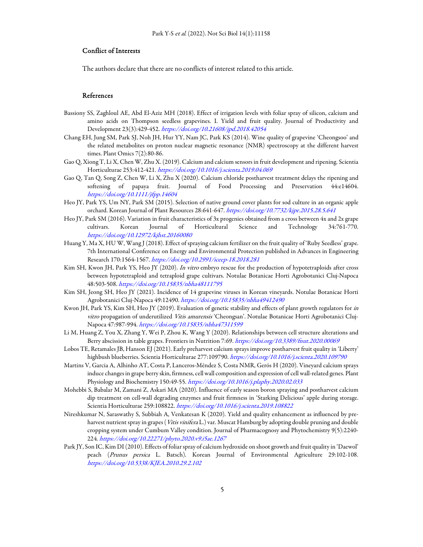# Conflict of Interests

The authors declare that there are no conflicts of interest related to this article.

# References

- Bassiony SS, Zaghloul AE, Abd El-Aziz MH (2018). Effect of irrigation levels with foliar spray of silicon, calcium and amino acids on Thompson seedless grapevines. I. Yield and fruit quality. Journal of Productivity and Development 23(3):429-452. https://doi.org/10.21608/jpd.2018.42054
- Chang EH, Jung SM, Park SJ, Noh JH, Hur YY, Nam JC, Park KS (2014). Wine quality of grapevine 'Cheongsoo' and the related metabolites on proton nuclear magnetic resonance (NMR) spectroscopy at the different harvest times. Plant Omics 7(2):80-86.
- Gao Q, Xiong T, Li X, Chen W, Zhu X. (2019). Calcium and calcium sensors in fruit development and ripening. Scientia Horticulturae 253:412-421. https://doi.org/10.1016/j.scienta.2019.04.069
- Gao Q, Tan Q, Song Z, Chen W, Li X, Zhu X (2020). Calcium chloride postharvest treatment delays the ripening and softening of papaya fruit. Journal of Food Processing and Preservation 44:e14604. https://doi.org/10.1111/jfpp.14604
- Heo JY, Park YS, Um NY, Park SM (2015). Selection of native ground cover plants for sod culture in an organic apple orchard. Korean Journal of Plant Resources 28:641-647. https://doi.org/10.7732/kjpr.2015.28.5.641
- Heo JY, Park SM (2016). Variation in fruit characteristics of 3x progenies obtained from a cross between 4x and 2x grape cultivars. Korean Journal of Horticultural Science and Technology 34:761-770. https://doi.org/10.12972/kjhst.20160080
- Huang Y, Ma X, HU W, Wang J (2018). Effect of spraying calcium fertilizer on the fruit quality of 'Ruby Seedless' grape. 7th International Conference on Energy and Environmental Protection published in Advances in Engineering Research 170:1564-1567. https://doi.org/10.2991/iceep-18.2018.281
- Kim SH, Kwon JH, Park YS, Heo JY (2020). In vitro embryo rescue for the production of hypotetraploids after cross between hypotetraploid and tetraploid grape cultivars. Notulae Botanicae Horti Agrobotanici Cluj-Napoca 48:503-508. https://doi.org/10.15835/nbha48111795
- Kim SH, Jeong SH, Heo JY (2021). Incidence of 14 grapevine viruses in Korean vineyards. Notulae Botanicae Horti Agrobotanici Cluj-Napoca 49:12490. https://doi.org/10.15835/nbha49412490
- Kwon JH, Park YS, Kim SH, Heo JY (2019). Evaluation of genetic stability and effects of plant growth regulators for in vitro propagation of underutilized Vitis amurensis 'Cheongsan'. Notulae Botanicae Horti Agrobotanici Cluj-Napoca 47:987-994. https://doi.org/10.15835/nbha47311599
- Li M, Huang Z, You X, Zhang Y, Wei P, Zhou K, Wang Y (2020). Relationships between cell structure alterations and Berry abscission in table grapes. Frontiers in Nutrition 7:69. https://doi.org/10.3389/fnut.2020.00069
- Lobos TE, Retamales JB, Hanson EJ (2021). Early preharvest calcium sprays improve postharvest fruit quality in 'Liberty' highbush blueberries. Scientia Horticulturae 277:109790. https://doi.org/10.1016/j.scienta.2020.109790
- Martins V, Garcia A, Alhinho AT, Costa P, Lanceros-Méndez S, Costa NMR, Gerós H (2020). Vineyard calcium sprays induce changes in grape berry skin, firmness, cell wall composition and expression of cell wall-related genes. Plant Physiology and Biochemistry 150:49-55. https://doi.org/10.1016/j.plaphy.2020.02.033
- Mohebbi S, Babalar M, Zamani Z, Askari MA (2020). Influence of early season boron spraying and postharvest calcium dip treatment on cell-wall degrading enzymes and fruit firmness in 'Starking Delicious' apple during storage. Scientia Horticulturae 259:108822. https://doi.org/10.1016/j.scienta.2019.108822
- Nireshkumar N, Saraswathy S, Subbiah A, Venkatesan K (2020). Yield and quality enhancement as influenced by preharvest nutrient spray in grapes (*Vitis vinifera L.*) var. Muscat Hamburg by adopting double pruning and double cropping system under Cumbum Valley condition. Journal of Pharmacognosy and Phytochemistry 9(5):2240- 224. https://doi.org/10.22271/phyto.2020.v9.i5ae.1267
- Park JY, Son IC, Kim DI (2010). Effects of foliar spray of calcium hydroxide on shoot growth and fruit quality in 'Daewol' peach (Prunus persica L. Batsch). Korean Journal of Environmental Agriculture 29:102-108. https://doi.org/10.5338/KJEA.2010.29.2.102